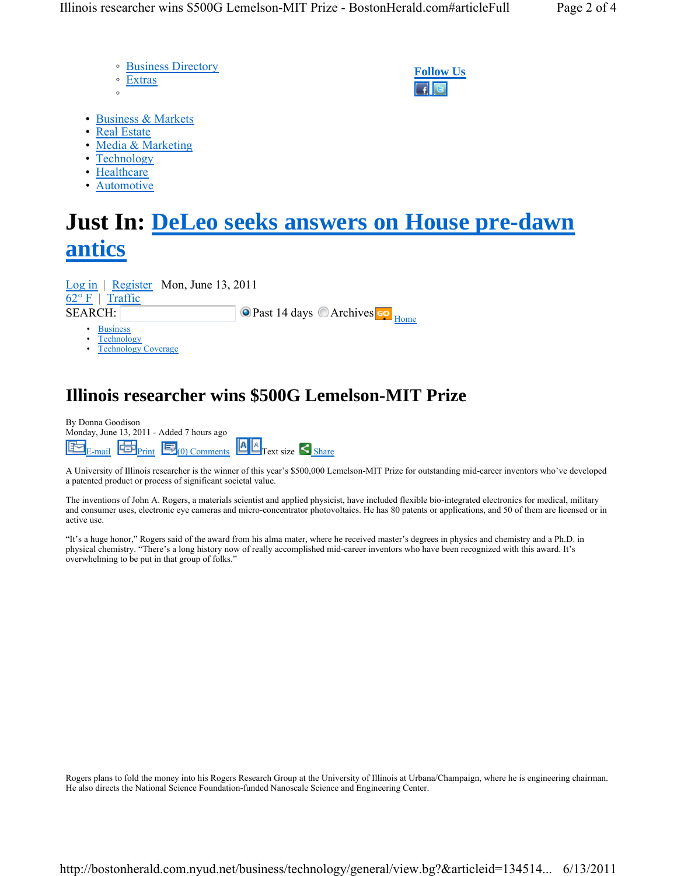- Business Directory ◦ Extras
- ◦

**Follow Us**

- Business & Markets
- Real Estate
- Media & Marketing
- Technology
- Healthcare
- **Automotive**

## **Just In: DeLeo seeks answers on House pre-dawn antics**

SEARCH: **Past 14 days © Archives CO** Home Log in | Register Mon, June 13, 2011  $62^{\circ}$  F | Traffic

- **Business**
- **Technology**
- Technology Coverage

## **Illinois researcher wins \$500G Lemelson-MIT Prize**

| By Donna Goodison<br>Monday, June 13, 2011 - Added 7 hours ago |  |                                                                                                                                                            |  |  |
|----------------------------------------------------------------|--|------------------------------------------------------------------------------------------------------------------------------------------------------------|--|--|
|                                                                |  | $\boxed{E}_{\text{E-mail}}$ $\boxed{E}_{\text{Print}}$ $\boxed{E}_{(0) \text{ Comments}}$ $\boxed{A \mid B}_{\text{Text size}}$ $\boxed{S}_{\text{share}}$ |  |  |

A University of Illinois researcher is the winner of this year's \$500,000 Lemelson-MIT Prize for outstanding mid-career inventors who've developed a patented product or process of significant societal value.

The inventions of John A. Rogers, a materials scientist and applied physicist, have included flexible bio-integrated electronics for medical, military and consumer uses, electronic eye cameras and micro-concentrator photovoltaics. He has 80 patents or applications, and 50 of them are licensed or in active use.

"It's a huge honor," Rogers said of the award from his alma mater, where he received master's degrees in physics and chemistry and a Ph.D. in physical chemistry. "There's a long history now of really accomplished mid-career inventors who have been recognized with this award. It's overwhelming to be put in that group of folks."

Rogers plans to fold the money into his Rogers Research Group at the University of Illinois at Urbana/Champaign, where he is engineering chairman. He also directs the National Science Foundation-funded Nanoscale Science and Engineering Center.

http://bostonherald.com.nyud.net/business/technology/general/view.bg?&articleid=134514... 6/13/2011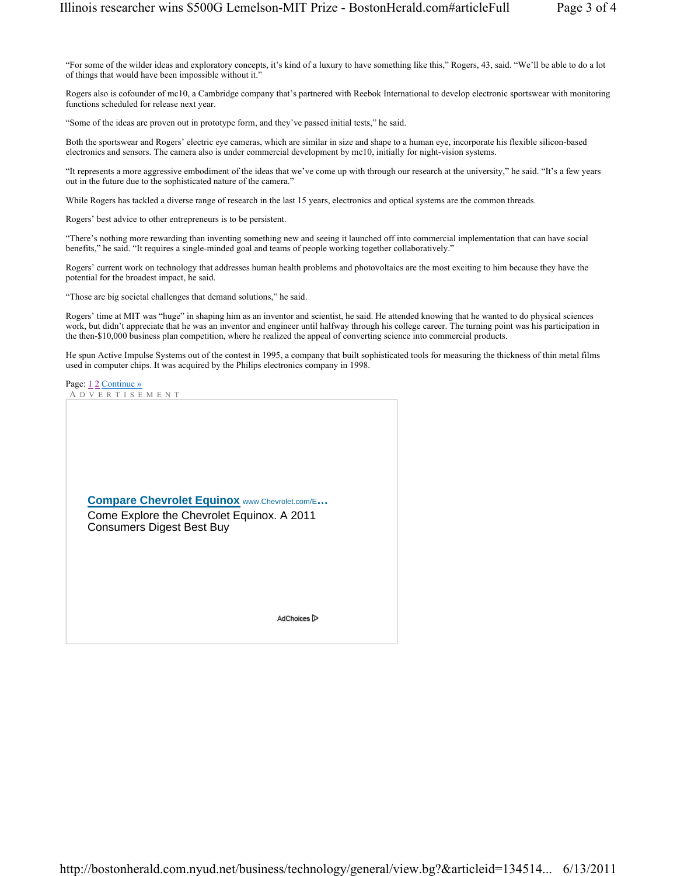"For some of the wilder ideas and exploratory concepts, it's kind of a luxury to have something like this," Rogers, 43, said. "We'll be able to do a lot of things that would have been impossible without it."

Rogers also is cofounder of mc10, a Cambridge company that's partnered with Reebok International to develop electronic sportswear with monitoring functions scheduled for release next year.

"Some of the ideas are proven out in prototype form, and they've passed initial tests," he said.

Both the sportswear and Rogers' electric eye cameras, which are similar in size and shape to a human eye, incorporate his flexible silicon-based electronics and sensors. The camera also is under commercial development by mc10, initially for night-vision systems.

"It represents a more aggressive embodiment of the ideas that we've come up with through our research at the university," he said. "It's a few years out in the future due to the sophisticated nature of the camera."

While Rogers has tackled a diverse range of research in the last 15 years, electronics and optical systems are the common threads.

Rogers' best advice to other entrepreneurs is to be persistent.

"There's nothing more rewarding than inventing something new and seeing it launched off into commercial implementation that can have social benefits," he said. "It requires a single-minded goal and teams of people working together collaboratively."

Rogers' current work on technology that addresses human health problems and photovoltaics are the most exciting to him because they have the potential for the broadest impact, he said.

"Those are big societal challenges that demand solutions," he said.

Rogers' time at MIT was "huge" in shaping him as an inventor and scientist, he said. He attended knowing that he wanted to do physical sciences work, but didn't appreciate that he was an inventor and engineer until halfway through his college career. The turning point was his participation in the then-\$10,000 business plan competition, where he realized the appeal of converting science into commercial products.

He spun Active Impulse Systems out of the contest in 1995, a company that built sophisticated tools for measuring the thickness of thin metal films used in computer chips. It was acquired by the Philips electronics company in 1998.

Page: 12 Continue » A DVERTISEMENT